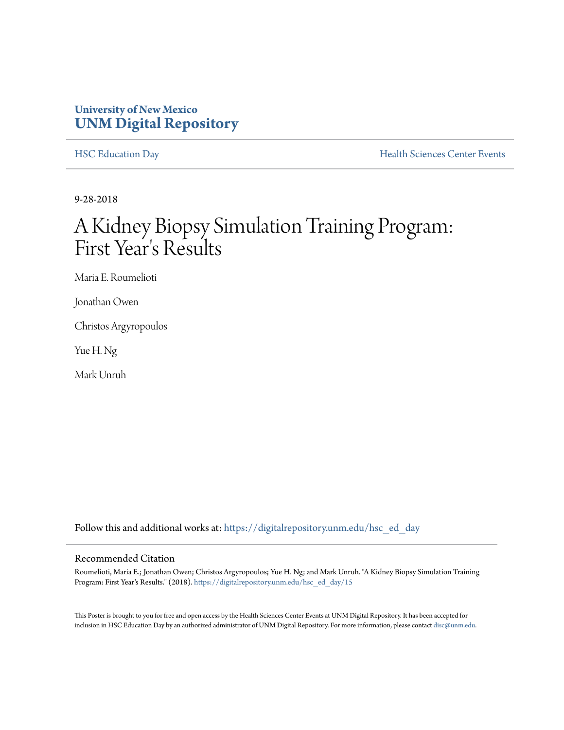### **University of New Mexico [UNM Digital Repository](https://digitalrepository.unm.edu?utm_source=digitalrepository.unm.edu%2Fhsc_ed_day%2F15&utm_medium=PDF&utm_campaign=PDFCoverPages)**

[HSC Education Day](https://digitalrepository.unm.edu/hsc_ed_day?utm_source=digitalrepository.unm.edu%2Fhsc_ed_day%2F15&utm_medium=PDF&utm_campaign=PDFCoverPages) **[Health Sciences Center Events](https://digitalrepository.unm.edu/hsc_events?utm_source=digitalrepository.unm.edu%2Fhsc_ed_day%2F15&utm_medium=PDF&utm_campaign=PDFCoverPages)** 

9-28-2018

### A Kidney Biopsy Simulation Training Program: First Year 's Results

Maria E. Roumelioti

Jonathan Owen

Christos Argyropoulos

Yue H. Ng

Mark Unruh

Follow this and additional works at: [https://digitalrepository.unm.edu/hsc\\_ed\\_day](https://digitalrepository.unm.edu/hsc_ed_day?utm_source=digitalrepository.unm.edu%2Fhsc_ed_day%2F15&utm_medium=PDF&utm_campaign=PDFCoverPages)

### Recommended Citation

Roumelioti, Maria E.; Jonathan Owen; Christos Argyropoulos; Yue H. Ng; and Mark Unruh. "A Kidney Biopsy Simulation Training Program: First Year's Results." (2018). [https://digitalrepository.unm.edu/hsc\\_ed\\_day/15](https://digitalrepository.unm.edu/hsc_ed_day/15?utm_source=digitalrepository.unm.edu%2Fhsc_ed_day%2F15&utm_medium=PDF&utm_campaign=PDFCoverPages)

This Poster is brought to you for free and open access by the Health Sciences Center Events at UNM Digital Repository. It has been accepted for inclusion in HSC Education Day by an authorized administrator of UNM Digital Repository. For more information, please contact [disc@unm.edu](mailto:disc@unm.edu).